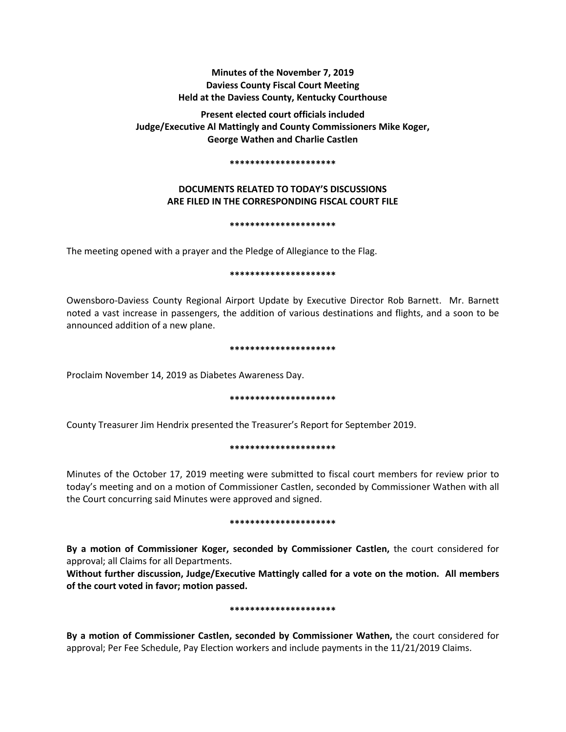# **Minutes of the November 7, 2019 Daviess County Fiscal Court Meeting Held at the Daviess County, Kentucky Courthouse**

**Present elected court officials included Judge/Executive Al Mattingly and County Commissioners Mike Koger, George Wathen and Charlie Castlen** 

#### **\*\*\*\*\*\*\*\*\*\*\*\*\*\*\*\*\*\*\*\*\***

# **DOCUMENTS RELATED TO TODAY'S DISCUSSIONS ARE FILED IN THE CORRESPONDING FISCAL COURT FILE**

#### **\*\*\*\*\*\*\*\*\*\*\*\*\*\*\*\*\*\*\*\*\***

The meeting opened with a prayer and the Pledge of Allegiance to the Flag.

## **\*\*\*\*\*\*\*\*\*\*\*\*\*\*\*\*\*\*\*\*\***

Owensboro-Daviess County Regional Airport Update by Executive Director Rob Barnett. Mr. Barnett noted a vast increase in passengers, the addition of various destinations and flights, and a soon to be announced addition of a new plane.

#### **\*\*\*\*\*\*\*\*\*\*\*\*\*\*\*\*\*\*\*\*\***

Proclaim November 14, 2019 as Diabetes Awareness Day.

### **\*\*\*\*\*\*\*\*\*\*\*\*\*\*\*\*\*\*\*\*\***

County Treasurer Jim Hendrix presented the Treasurer's Report for September 2019.

### **\*\*\*\*\*\*\*\*\*\*\*\*\*\*\*\*\*\*\*\*\***

Minutes of the October 17, 2019 meeting were submitted to fiscal court members for review prior to today's meeting and on a motion of Commissioner Castlen, seconded by Commissioner Wathen with all the Court concurring said Minutes were approved and signed.

### **\*\*\*\*\*\*\*\*\*\*\*\*\*\*\*\*\*\*\*\*\***

**By a motion of Commissioner Koger, seconded by Commissioner Castlen,** the court considered for approval; all Claims for all Departments.

**Without further discussion, Judge/Executive Mattingly called for a vote on the motion. All members of the court voted in favor; motion passed.** 

### **\*\*\*\*\*\*\*\*\*\*\*\*\*\*\*\*\*\*\*\*\***

**By a motion of Commissioner Castlen, seconded by Commissioner Wathen,** the court considered for approval; Per Fee Schedule, Pay Election workers and include payments in the 11/21/2019 Claims.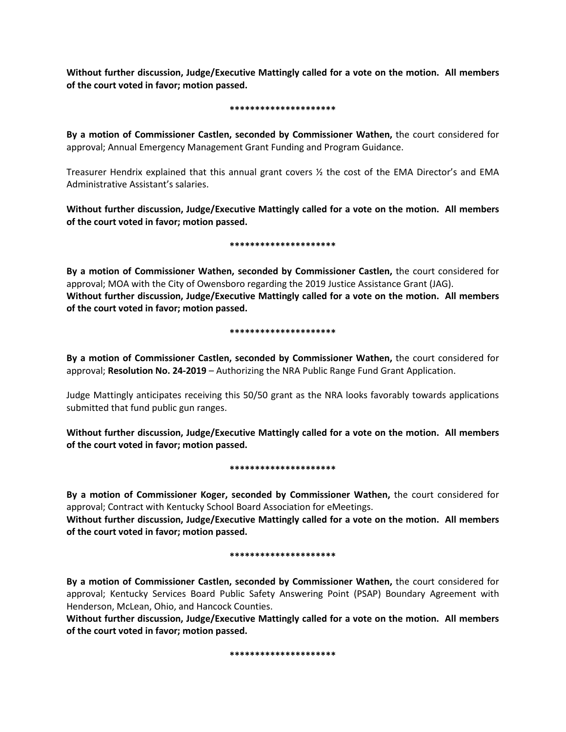**Without further discussion, Judge/Executive Mattingly called for a vote on the motion. All members of the court voted in favor; motion passed.** 

## **\*\*\*\*\*\*\*\*\*\*\*\*\*\*\*\*\*\*\*\*\***

**By a motion of Commissioner Castlen, seconded by Commissioner Wathen,** the court considered for approval; Annual Emergency Management Grant Funding and Program Guidance.

Treasurer Hendrix explained that this annual grant covers ½ the cost of the EMA Director's and EMA Administrative Assistant's salaries.

**Without further discussion, Judge/Executive Mattingly called for a vote on the motion. All members of the court voted in favor; motion passed.** 

# **\*\*\*\*\*\*\*\*\*\*\*\*\*\*\*\*\*\*\*\*\***

**By a motion of Commissioner Wathen, seconded by Commissioner Castlen,** the court considered for approval; MOA with the City of Owensboro regarding the 2019 Justice Assistance Grant (JAG). **Without further discussion, Judge/Executive Mattingly called for a vote on the motion. All members of the court voted in favor; motion passed.** 

# **\*\*\*\*\*\*\*\*\*\*\*\*\*\*\*\*\*\*\*\*\***

**By a motion of Commissioner Castlen, seconded by Commissioner Wathen,** the court considered for approval; **Resolution No. 24-2019** – Authorizing the NRA Public Range Fund Grant Application.

Judge Mattingly anticipates receiving this 50/50 grant as the NRA looks favorably towards applications submitted that fund public gun ranges.

**Without further discussion, Judge/Executive Mattingly called for a vote on the motion. All members of the court voted in favor; motion passed.** 

# **\*\*\*\*\*\*\*\*\*\*\*\*\*\*\*\*\*\*\*\*\***

**By a motion of Commissioner Koger, seconded by Commissioner Wathen,** the court considered for approval; Contract with Kentucky School Board Association for eMeetings.

**Without further discussion, Judge/Executive Mattingly called for a vote on the motion. All members of the court voted in favor; motion passed.** 

### **\*\*\*\*\*\*\*\*\*\*\*\*\*\*\*\*\*\*\*\*\***

**By a motion of Commissioner Castlen, seconded by Commissioner Wathen,** the court considered for approval; Kentucky Services Board Public Safety Answering Point (PSAP) Boundary Agreement with Henderson, McLean, Ohio, and Hancock Counties.

**Without further discussion, Judge/Executive Mattingly called for a vote on the motion. All members of the court voted in favor; motion passed.** 

**\*\*\*\*\*\*\*\*\*\*\*\*\*\*\*\*\*\*\*\*\***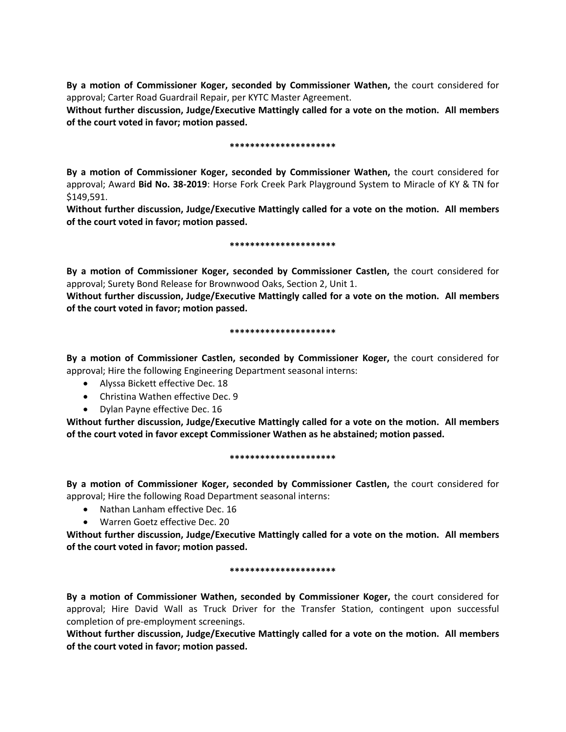**By a motion of Commissioner Koger, seconded by Commissioner Wathen,** the court considered for approval; Carter Road Guardrail Repair, per KYTC Master Agreement.

**Without further discussion, Judge/Executive Mattingly called for a vote on the motion. All members of the court voted in favor; motion passed.** 

# **\*\*\*\*\*\*\*\*\*\*\*\*\*\*\*\*\*\*\*\*\***

**By a motion of Commissioner Koger, seconded by Commissioner Wathen,** the court considered for approval; Award **Bid No. 38-2019**: Horse Fork Creek Park Playground System to Miracle of KY & TN for \$149,591.

**Without further discussion, Judge/Executive Mattingly called for a vote on the motion. All members of the court voted in favor; motion passed.** 

### **\*\*\*\*\*\*\*\*\*\*\*\*\*\*\*\*\*\*\*\*\***

**By a motion of Commissioner Koger, seconded by Commissioner Castlen,** the court considered for approval; Surety Bond Release for Brownwood Oaks, Section 2, Unit 1.

**Without further discussion, Judge/Executive Mattingly called for a vote on the motion. All members of the court voted in favor; motion passed.** 

### **\*\*\*\*\*\*\*\*\*\*\*\*\*\*\*\*\*\*\*\*\***

**By a motion of Commissioner Castlen, seconded by Commissioner Koger,** the court considered for approval; Hire the following Engineering Department seasonal interns:

- Alyssa Bickett effective Dec. 18
- Christina Wathen effective Dec. 9
- Dylan Payne effective Dec. 16

**Without further discussion, Judge/Executive Mattingly called for a vote on the motion. All members of the court voted in favor except Commissioner Wathen as he abstained; motion passed.** 

### **\*\*\*\*\*\*\*\*\*\*\*\*\*\*\*\*\*\*\*\*\***

**By a motion of Commissioner Koger, seconded by Commissioner Castlen,** the court considered for approval; Hire the following Road Department seasonal interns:

- Nathan Lanham effective Dec. 16
- Warren Goetz effective Dec. 20

**Without further discussion, Judge/Executive Mattingly called for a vote on the motion. All members of the court voted in favor; motion passed.** 

### **\*\*\*\*\*\*\*\*\*\*\*\*\*\*\*\*\*\*\*\*\***

**By a motion of Commissioner Wathen, seconded by Commissioner Koger,** the court considered for approval; Hire David Wall as Truck Driver for the Transfer Station, contingent upon successful completion of pre-employment screenings.

**Without further discussion, Judge/Executive Mattingly called for a vote on the motion. All members of the court voted in favor; motion passed.**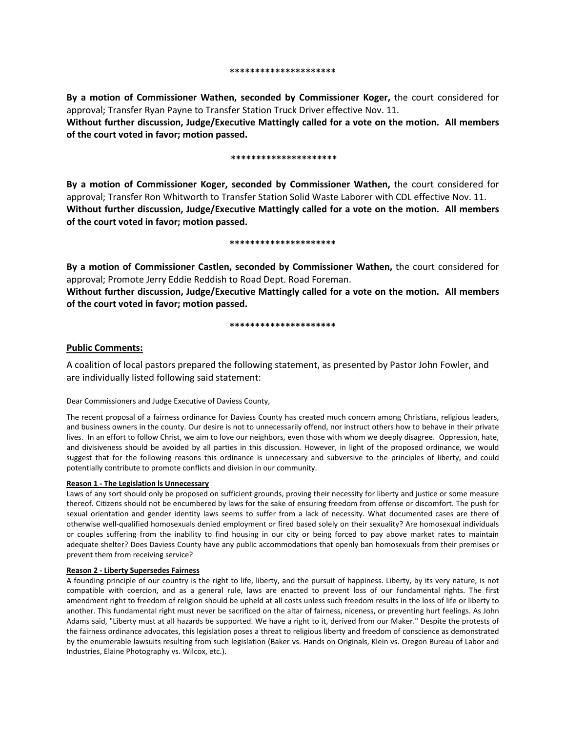**By a motion of Commissioner Wathen, seconded by Commissioner Koger,** the court considered for approval; Transfer Ryan Payne to Transfer Station Truck Driver effective Nov. 11.

**Without further discussion, Judge/Executive Mattingly called for a vote on the motion. All members of the court voted in favor; motion passed.** 

#### **\*\*\*\*\*\*\*\*\*\*\*\*\*\*\*\*\*\*\*\*\***

**By a motion of Commissioner Koger, seconded by Commissioner Wathen,** the court considered for approval; Transfer Ron Whitworth to Transfer Station Solid Waste Laborer with CDL effective Nov. 11. **Without further discussion, Judge/Executive Mattingly called for a vote on the motion. All members of the court voted in favor; motion passed.** 

#### **\*\*\*\*\*\*\*\*\*\*\*\*\*\*\*\*\*\*\*\*\***

**By a motion of Commissioner Castlen, seconded by Commissioner Wathen,** the court considered for approval; Promote Jerry Eddie Reddish to Road Dept. Road Foreman.

**Without further discussion, Judge/Executive Mattingly called for a vote on the motion. All members of the court voted in favor; motion passed.** 

#### **\*\*\*\*\*\*\*\*\*\*\*\*\*\*\*\*\*\*\*\*\***

# **Public Comments:**

A coalition of local pastors prepared the following statement, as presented by Pastor John Fowler, and are individually listed following said statement:

Dear Commissioners and Judge Executive of Daviess County,

The recent proposal of a fairness ordinance for Daviess County has created much concern among Christians, religious leaders, and business owners in the county. Our desire is not to unnecessarily offend, nor instruct others how to behave in their private lives. In an effort to follow Christ, we aim to love our neighbors, even those with whom we deeply disagree. Oppression, hate, and divisiveness should be avoided by all parties in this discussion. However, in light of the proposed ordinance, we would suggest that for the following reasons this ordinance is unnecessary and subversive to the principles of liberty, and could potentially contribute to promote conflicts and division in our community.

### **Reason 1 - The Legislation ls Unnecessary**

Laws of any sort should only be proposed on sufficient grounds, proving their necessity for liberty and justice or some measure thereof. Citizens should not be encumbered by laws for the sake of ensuring freedom from offense or discomfort. The push for sexual orientation and gender identity laws seems to suffer from a lack of necessity. What documented cases are there of otherwise well-qualified homosexuals denied employment or fired based solely on their sexuality? Are homosexual individuals or couples suffering from the inability to find housing in our city or being forced to pay above market rates to maintain adequate shelter? Does Daviess County have any public accommodations that openly ban homosexuals from their premises or prevent them from receiving service?

#### **Reason 2 - Liberty Supersedes Fairness**

A founding principle of our country is the right to life, liberty, and the pursuit of happiness. Liberty, by its very nature, is not compatible with coercion, and as a general rule, laws are enacted to prevent loss of our fundamental rights. The first amendment right to freedom of religion should be upheld at all costs unless such freedom results in the loss of life or liberty to another. This fundamental right must never be sacrificed on the altar of fairness, niceness, or preventing hurt feelings. As John Adams said, "Liberty must at all hazards be supported. We have a right to it, derived from our Maker." Despite the protests of the fairness ordinance advocates, this legislation poses a threat to religious liberty and freedom of conscience as demonstrated by the enumerable lawsuits resulting from such legislation (Baker vs. Hands on Originals, Klein vs. Oregon Bureau of Labor and Industries, Elaine Photography vs. Wilcox, etc.).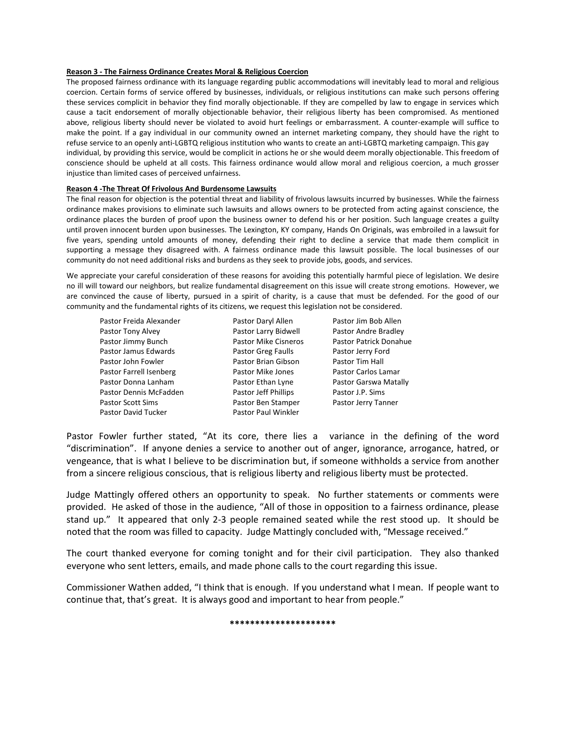#### **Reason 3 - The Fairness Ordinance Creates Moral & Religious Coercion**

The proposed fairness ordinance with its language regarding public accommodations will inevitably lead to moral and religious coercion. Certain forms of service offered by businesses, individuals, or religious institutions can make such persons offering these services complicit in behavior they find morally objectionable. If they are compelled by law to engage in services which cause a tacit endorsement of morally objectionable behavior, their religious liberty has been compromised. As mentioned above, religious liberty should never be violated to avoid hurt feelings or embarrassment. A counter-example will suffice to make the point. If a gay individual in our community owned an internet marketing company, they should have the right to refuse service to an openly anti-LGBTQ religious institution who wants to create an anti-LGBTQ marketing campaign. This gay individual, by providing this service, would be complicit in actions he or she would deem morally objectionable. This freedom of conscience should be upheld at all costs. This fairness ordinance would allow moral and religious coercion, a much grosser injustice than limited cases of perceived unfairness.

#### **Reason 4 -The Threat Of Frivolous And Burdensome Lawsuits**

The final reason for objection is the potential threat and liability of frivolous lawsuits incurred by businesses. While the fairness ordinance makes provisions to eliminate such lawsuits and allows owners to be protected from acting against conscience, the ordinance places the burden of proof upon the business owner to defend his or her position. Such language creates a guilty until proven innocent burden upon businesses. The Lexington, KY company, Hands On Originals, was embroiled in a lawsuit for five years, spending untold amounts of money, defending their right to decline a service that made them complicit in supporting a message they disagreed with. A fairness ordinance made this lawsuit possible. The local businesses of our community do not need additional risks and burdens as they seek to provide jobs, goods, and services.

We appreciate your careful consideration of these reasons for avoiding this potentially harmful piece of legislation. We desire no ill will toward our neighbors, but realize fundamental disagreement on this issue will create strong emotions. However, we are convinced the cause of liberty, pursued in a spirit of charity, is a cause that must be defended. For the good of our community and the fundamental rights of its citizens, we request this legislation not be considered.

| Pastor Freida Alexander  | Pastor Daryl Allen          | Pastor Jim Bob Allen       |
|--------------------------|-----------------------------|----------------------------|
| Pastor Tony Alvey        | Pastor Larry Bidwell        | Pastor Andre Bradley       |
| Pastor Jimmy Bunch       | <b>Pastor Mike Cisneros</b> | Pastor Patrick Donahue     |
| Pastor Jamus Edwards     | Pastor Greg Faulls          | Pastor Jerry Ford          |
| Pastor John Fowler       | Pastor Brian Gibson         | Pastor Tim Hall            |
| Pastor Farrell Isenberg  | Pastor Mike Jones           | <b>Pastor Carlos Lamar</b> |
| Pastor Donna Lanham      | Pastor Ethan Lyne           | Pastor Garswa Matally      |
| Pastor Dennis McFadden   | Pastor Jeff Phillips        | Pastor J.P. Sims           |
| <b>Pastor Scott Sims</b> | Pastor Ben Stamper          | Pastor Jerry Tanner        |
| Pastor David Tucker      | <b>Pastor Paul Winkler</b>  |                            |

Pastor Fowler further stated, "At its core, there lies a variance in the defining of the word "discrimination". If anyone denies a service to another out of anger, ignorance, arrogance, hatred, or vengeance, that is what I believe to be discrimination but, if someone withholds a service from another from a sincere religious conscious, that is religious liberty and religious liberty must be protected.

Judge Mattingly offered others an opportunity to speak. No further statements or comments were provided. He asked of those in the audience, "All of those in opposition to a fairness ordinance, please stand up." It appeared that only 2-3 people remained seated while the rest stood up. It should be noted that the room was filled to capacity. Judge Mattingly concluded with, "Message received."

The court thanked everyone for coming tonight and for their civil participation. They also thanked everyone who sent letters, emails, and made phone calls to the court regarding this issue.

Commissioner Wathen added, "I think that is enough. If you understand what I mean. If people want to continue that, that's great. It is always good and important to hear from people."

#### **\*\*\*\*\*\*\*\*\*\*\*\*\*\*\*\*\*\*\*\*\***